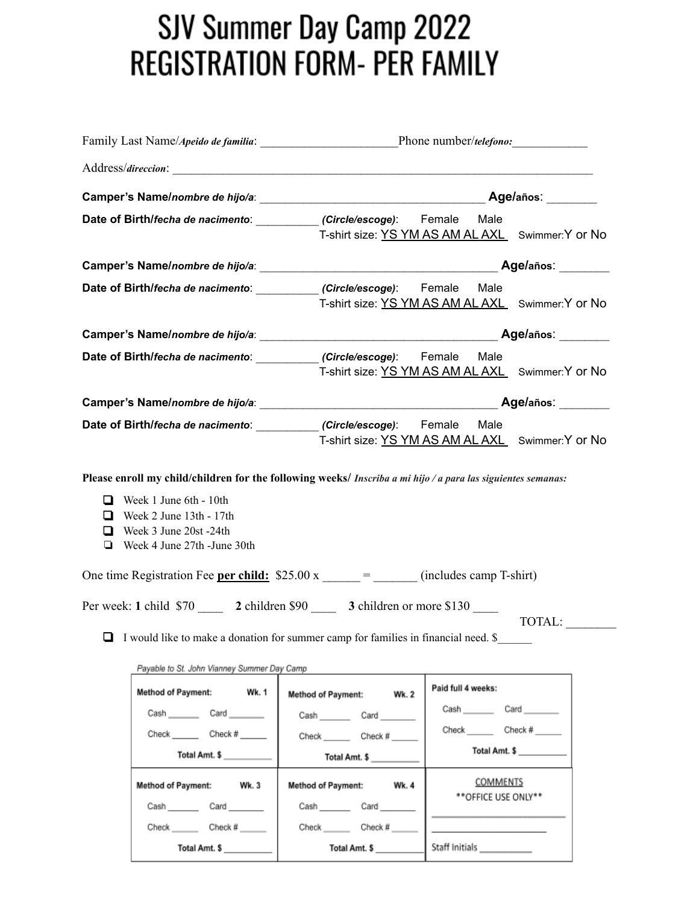## SJV Summer Day Camp 2022 **REGISTRATION FORM- PER FAMILY**

|                                                                                                                                                                                                                                                                                                |                                                                                                         | Age/años: ______                                 |               |
|------------------------------------------------------------------------------------------------------------------------------------------------------------------------------------------------------------------------------------------------------------------------------------------------|---------------------------------------------------------------------------------------------------------|--------------------------------------------------|---------------|
| Date of Birth/fecha de nacimento: ___________ (Circle/escoge): Female                                                                                                                                                                                                                          | T-shirt size: YS YM AS AM AL AXL Swimmer: Y or No                                                       | Male                                             |               |
|                                                                                                                                                                                                                                                                                                |                                                                                                         |                                                  |               |
| Date of Birth/fecha de nacimento: ___________ (Circle/escoge): Female                                                                                                                                                                                                                          | T-shirt size: YS YM AS AM AL AXL Swimmer:Y or No                                                        | Male                                             |               |
|                                                                                                                                                                                                                                                                                                |                                                                                                         |                                                  |               |
| Date of Birth/fecha de nacimento: ___________ (Circle/escoge): Female                                                                                                                                                                                                                          | T-shirt size: YS YM AS AM AL AXL Swimmer: Y or No                                                       | Male                                             |               |
|                                                                                                                                                                                                                                                                                                |                                                                                                         |                                                  |               |
| Date of Birth/fecha de nacimento: ___________ (Circle/escoge): Female                                                                                                                                                                                                                          | T-shirt size: YS YM AS AM AL AXL Swimmer:Y or No                                                        | Male                                             |               |
| Week 1 June 6th - 10th<br>□<br>Week 2 June 13th - 17th<br>❏<br>Week 3 June 20st -24th<br>ப<br>Week 4 June 27th - June 30th<br>❏<br>One time Registration Fee per child: $$25.00 \text{ x}$ = ______ (includes camp T-shirt)<br>Per week: 1 child \$70 2 children \$90 3 children or more \$130 |                                                                                                         |                                                  |               |
| I would like to make a donation for summer camp for families in financial need. \$                                                                                                                                                                                                             |                                                                                                         |                                                  | TOTAL:        |
| Payable to St. John Vianney Summer Day Camp<br><b>Method of Payment:</b><br>Wk. 1<br>Cash _________ Card ________<br>Check ________ Check # ______<br>Total Amt. \$                                                                                                                            | <b>Method of Payment:</b><br><b>Wk.2</b><br>Cash Card<br>Check _________ Check # _____<br>Total Amt. \$ | Paid full 4 weeks:<br>Cash Card<br>Check Check # | Total Amt. \$ |
| Method of Payment: Wk. 3<br>Cash Card _______<br>Check __________ Check # ______                                                                                                                                                                                                               | Method of Payment: Wk. 4<br>Cash Card _______<br>Check __________ Check #                               | COMMENTS<br>**OFFICE USE ONLY**                  |               |

Total Amt. \$

Staff Initials

Total Amt. \$